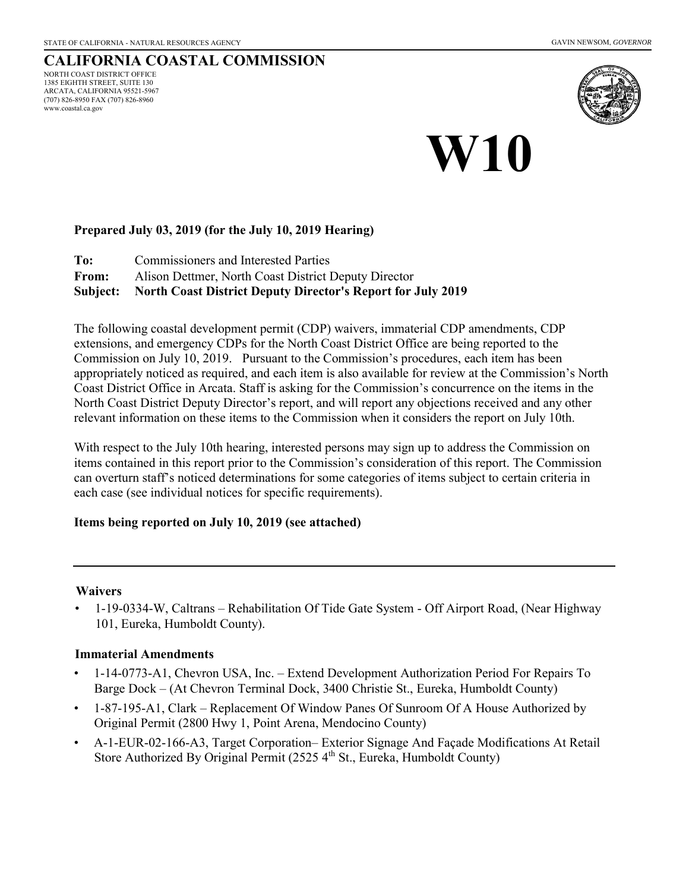#### **CALIFORNIA COASTAL COMMISSION** NORTH COAST DISTRICT OFFICE 1385 EIGHTH STREET, SUITE 130 ARCATA, CALIFORNIA 95521-5967 (707) 826-8950 FAX (707) 826-8960 www.coastal.ca.gov



# **W10**

#### **Prepared July 03, 2019 (for the July 10, 2019 Hearing)**

**To:** Commissioners and Interested Parties

**From:** Alison Dettmer, North Coast District Deputy Director

**Subject: North Coast District Deputy Director's Report for July 2019** 

The following coastal development permit (CDP) waivers, immaterial CDP amendments, CDP extensions, and emergency CDPs for the North Coast District Office are being reported to the Commission on July 10, 2019. Pursuant to the Commission's procedures, each item has been appropriately noticed as required, and each item is also available for review at the Commission's North Coast District Office in Arcata. Staff is asking for the Commission's concurrence on the items in the North Coast District Deputy Director's report, and will report any objections received and any other relevant information on these items to the Commission when it considers the report on July 10th.

With respect to the July 10th hearing, interested persons may sign up to address the Commission on items contained in this report prior to the Commission's consideration of this report. The Commission can overturn staff's noticed determinations for some categories of items subject to certain criteria in each case (see individual notices for specific requirements).

#### **Items being reported on July 10, 2019 (see attached)**

#### **Waivers**

• 1-19-0334-W, Caltrans – Rehabilitation Of Tide Gate System - Off Airport Road, (Near Highway 101, Eureka, Humboldt County).

#### **Immaterial Amendments**

- 1-14-0773-A1, Chevron USA, Inc. Extend Development Authorization Period For Repairs To Barge Dock – (At Chevron Terminal Dock, 3400 Christie St., Eureka, Humboldt County)
- 1-87-195-A1, Clark Replacement Of Window Panes Of Sunroom Of A House Authorized by Original Permit (2800 Hwy 1, Point Arena, Mendocino County)
- A-1-EUR-02-166-A3, Target Corporation– Exterior Signage And Façade Modifications At Retail Store Authorized By Original Permit (2525 4<sup>th</sup> St., Eureka, Humboldt County)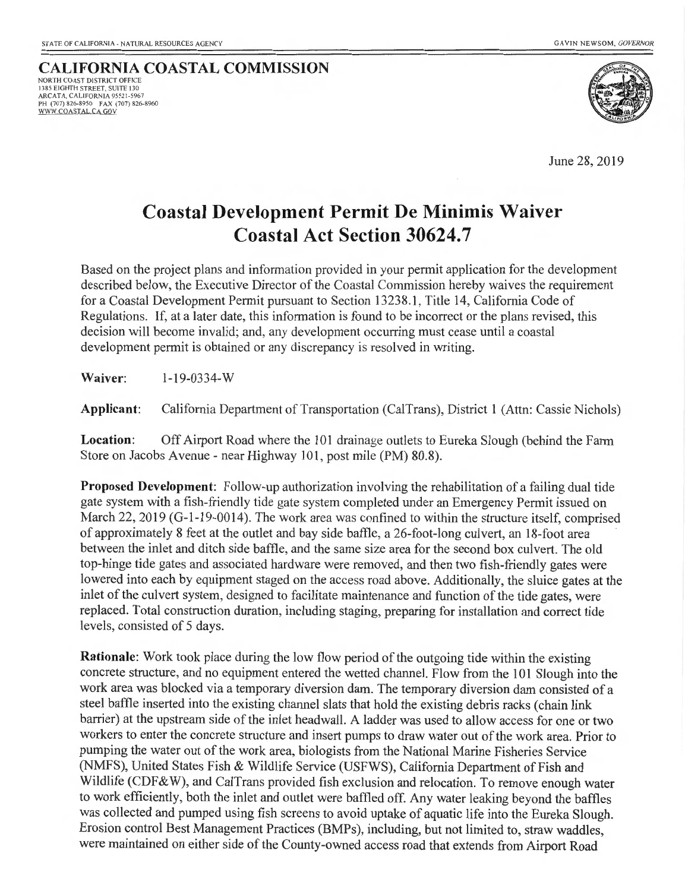#### **CALIFORNIA COASTAL COMMISSION** NORTH COAST DISTRICT OFFICE 1385 EIGHTH STREET. SU ITE 130 ARCATA, CALIFORNIA 95521-5967 PH (707) 826-8950 FAX (707) 826-8960<br><u>WWW.COASTAL.CA.GOV</u>



June 28, 2019

# **Coastal Development Permit De Minimis Waiver Coastal Act Section 30624.7**

Based on the project plans and information provided in your permit application for the development described below, the Executive Director of the Coastal Commission hereby waives the requirement for a Coastal Development Permit pursuant to Section 13238.1 , Title 14, California Code of Regulations. If, at a later date, this information is found to be incorrect or the plans revised, this decision will become invalid; and, any development occurring must cease until a coastal development permit is obtained or any discrepancy is resolved in writing.

#### **Waiver:** 1-19-0334-w

**Applicant:** California Department of Transportation (CalTrans), District 1 (Attn: Cassie Nichols)

**Location:** Off Airport Road where the 101 drainage outlets to Eureka Slough (behind the Farm Store on Jacobs Avenue - near Highway 101, post mile (PM) 80.8).

**Proposed Development:** Follow-up authorization involving the rehabilitation of a failing dual tide gate system with a fish-friendly tide gate system completed under an Emergency Permit issued on March 22, 2019 (G-1-19-0014). The work area was confined to within the structure itself, comprised of approximately 8 feet at the outlet and bay side baffle, a 26-foot-long culvett, an 18-foot area between the inlet and ditch side baffle, and the same size area for the second box culvert. The old top-hinge tide gates and associated hardware were removed, and then two fish-friendly gates were lowered into each by equipment staged on the access road above. Additionally, the sluice gates at the inlet of the culvert system, designed to facilitate maintenance and function of the tide gates, were replaced. Total construction duration, including staging, preparing for installation and correct tide levels, consisted of 5 days.

**Rationale:** Work took place during the low flow period of the outgoing tide within the existing concrete structure, and no equipment entered the wetted channel. Flow from the 101 Slough into the work area was blocked via a temporary diversion dam. The temporary diversion dam consisted of a steel baffle inserted into the existing channel slats that hold the existing debris racks (chain link barrier) at the upstream side of the inlet headwall. A ladder was used to allow access for one or two workers to enter the concrete structure and insert pumps to draw water out of the work area. Prior to pumping the water out of the work area, biologists from the National Marine Fisheries Service (NMFS), United States Fish & Wildlife Service (USFWS), California Department of Fish and Wildlife (CDF&W), and CalTrans provided fish exclusion and relocation. To remove enough water to work efficiently, both the inlet and outlet were baffled off. Any water leaking beyond the baffles was collected and pumped using fish screens to avoid uptake of aquatic life into the Eureka Slough. Erosion control Best Management Practices (BMPs), including, but not limited to, straw waddles, were maintained on either side of the County-owned access road that extends from Airport Road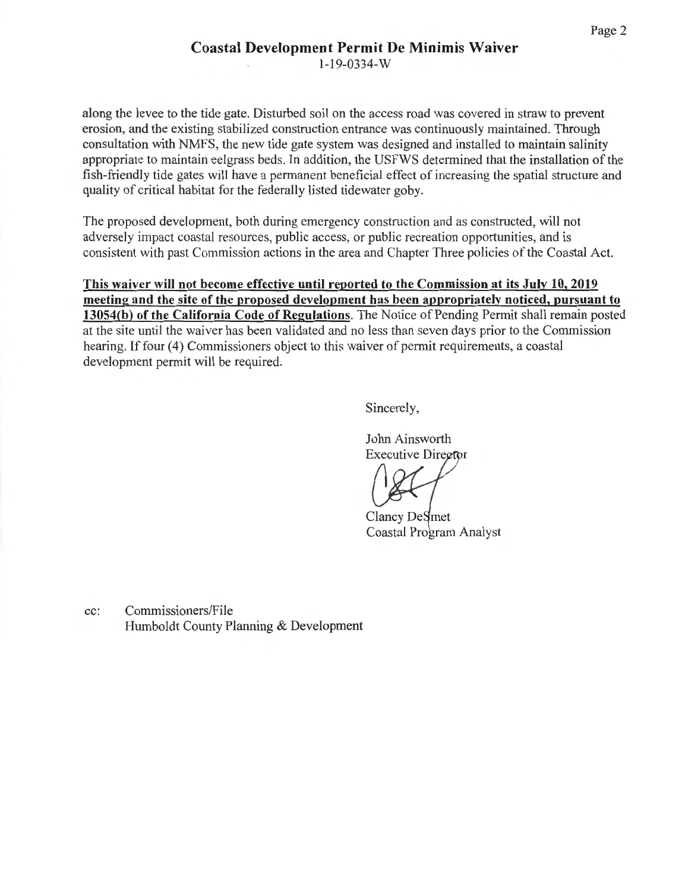along the levee to the tide gate. Disturbed soil on the access road was covered in straw to prevent erosion, and the existing stabilized construction entrance was continuously maintained. Through consultation with NMFS, the new tide gate system was designed and installed to maintain salinity appropriate to maintain eelgrass beds. In addition, the USFWS determined that the installation of the fish-friendly tide gates will have a permanent beneficial effect of increasing the spatial structure and quality of critical habitat for the federally listed tidewater goby.

The proposed development, both during emergency construction and as constructed, will not adversely impact coastal resources, public access, or public recreation opportunities, and is consistent with past Commission actions in the area and Chapter Three policies of the Coastal Act.

**This waiver will not become effective until reported to the Commission at its July 10, 2019 meeting and the site of the proposed development has been appropriately noticed, pursuant to 13054(b) of the California Code of Regulations.** The Notice of Pending Permit shall remain posted at the site until the waiver has been validated and no less than seven days prior to the Commission hearing. If four (4) Commissioners object to this waiver of permit requirements, a coastal development permit will be required.

Sincerely,

John Ainsworth **Executive Director** 

Clancy DeSmet Coastal Program Analyst

cc: Commissioners/File Humboldt County Planning & Development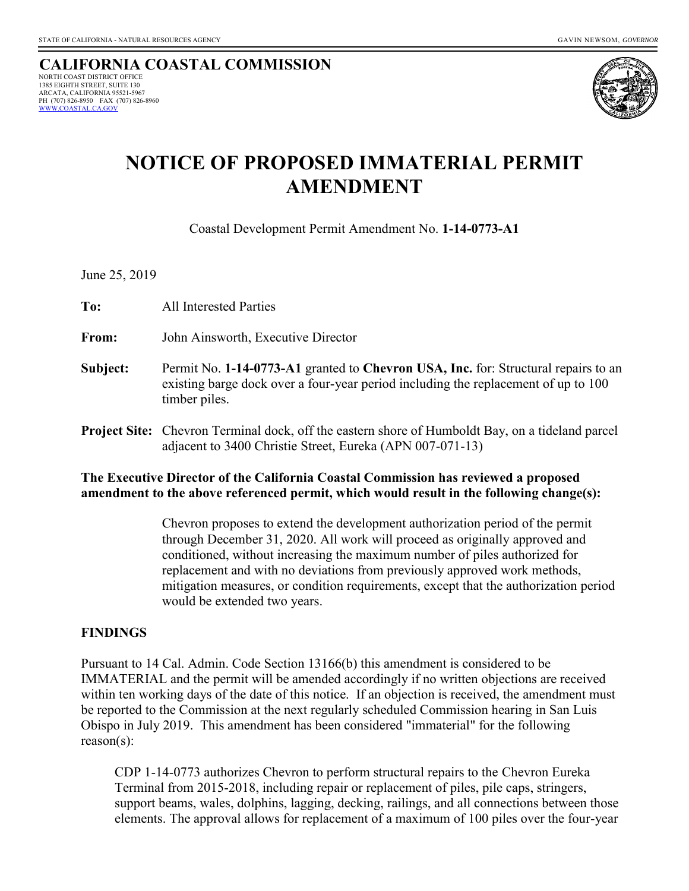#### **CALIFORNIA COASTAL COMMISSION**  NORTH COAST DISTRICT OFFICE 1385 EIGHTH STREET, SUITE 130 ARCATA, CALIFORNIA 95521-5967 PH (707) 826-8950 FAX (707) 826-8960<br>WWW.COASTAL.CA.GOV



# **NOTICE OF PROPOSED IMMATERIAL PERMIT AMENDMENT**

Coastal Development Permit Amendment No. **1-14-0773-A1**

June 25, 2019

**To:**All Interested Parties

**From:** John Ainsworth, Executive Director

- **Subject:** Permit No. **1-14-0773-A1** granted to **Chevron USA, Inc.** for: Structural repairs to an existing barge dock over a four-year period including the replacement of up to 100 timber piles.
- **Project Site:** Chevron Terminal dock, off the eastern shore of Humboldt Bay, on a tideland parcel adjacent to 3400 Christie Street, Eureka (APN 007-071-13)

#### **The Executive Director of the California Coastal Commission has reviewed a proposed amendment to the above referenced permit, which would result in the following change(s):**

 Chevron proposes to extend the development authorization period of the permit through December 31, 2020. All work will proceed as originally approved and conditioned, without increasing the maximum number of piles authorized for replacement and with no deviations from previously approved work methods, mitigation measures, or condition requirements, except that the authorization period would be extended two years.

#### **FINDINGS**

Pursuant to 14 Cal. Admin. Code Section 13166(b) this amendment is considered to be IMMATERIAL and the permit will be amended accordingly if no written objections are received within ten working days of the date of this notice. If an objection is received, the amendment must be reported to the Commission at the next regularly scheduled Commission hearing in San Luis Obispo in July 2019. This amendment has been considered "immaterial" for the following reason(s):

CDP 1-14-0773 authorizes Chevron to perform structural repairs to the Chevron Eureka Terminal from 2015-2018, including repair or replacement of piles, pile caps, stringers, support beams, wales, dolphins, lagging, decking, railings, and all connections between those elements. The approval allows for replacement of a maximum of 100 piles over the four-year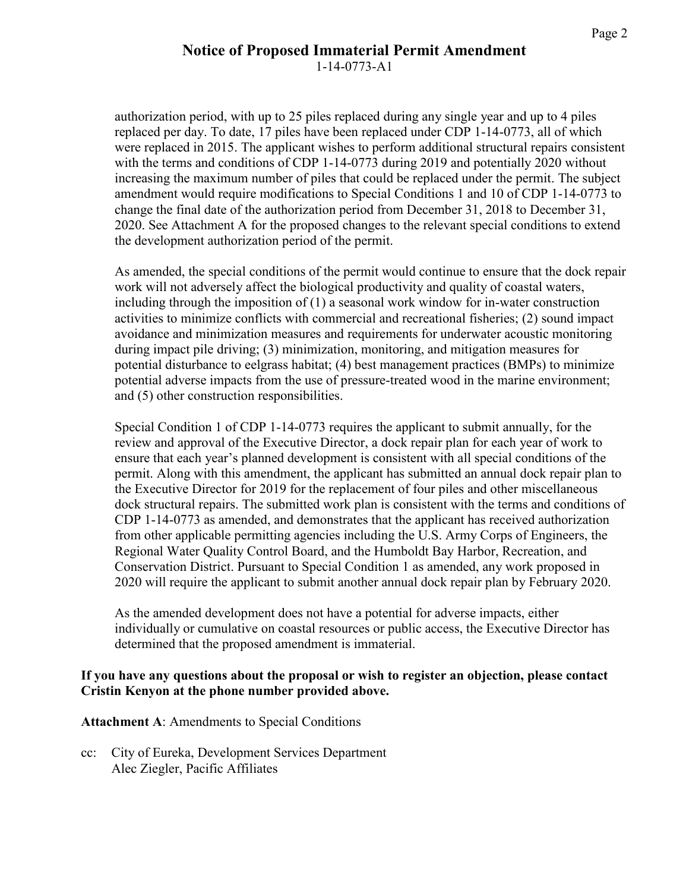#### **Notice of Proposed Immaterial Permit Amendment**  1-14-0773-A1

authorization period, with up to 25 piles replaced during any single year and up to 4 piles replaced per day. To date, 17 piles have been replaced under CDP 1-14-0773, all of which were replaced in 2015. The applicant wishes to perform additional structural repairs consistent with the terms and conditions of CDP 1-14-0773 during 2019 and potentially 2020 without increasing the maximum number of piles that could be replaced under the permit. The subject amendment would require modifications to Special Conditions 1 and 10 of CDP 1-14-0773 to change the final date of the authorization period from December 31, 2018 to December 31, 2020. See Attachment A for the proposed changes to the relevant special conditions to extend the development authorization period of the permit.

As amended, the special conditions of the permit would continue to ensure that the dock repair work will not adversely affect the biological productivity and quality of coastal waters, including through the imposition of (1) a seasonal work window for in-water construction activities to minimize conflicts with commercial and recreational fisheries; (2) sound impact avoidance and minimization measures and requirements for underwater acoustic monitoring during impact pile driving; (3) minimization, monitoring, and mitigation measures for potential disturbance to eelgrass habitat; (4) best management practices (BMPs) to minimize potential adverse impacts from the use of pressure-treated wood in the marine environment; and (5) other construction responsibilities.

Special Condition 1 of CDP 1-14-0773 requires the applicant to submit annually, for the review and approval of the Executive Director, a dock repair plan for each year of work to ensure that each year's planned development is consistent with all special conditions of the permit. Along with this amendment, the applicant has submitted an annual dock repair plan to the Executive Director for 2019 for the replacement of four piles and other miscellaneous dock structural repairs. The submitted work plan is consistent with the terms and conditions of CDP 1-14-0773 as amended, and demonstrates that the applicant has received authorization from other applicable permitting agencies including the U.S. Army Corps of Engineers, the Regional Water Quality Control Board, and the Humboldt Bay Harbor, Recreation, and Conservation District. Pursuant to Special Condition 1 as amended, any work proposed in 2020 will require the applicant to submit another annual dock repair plan by February 2020.

As the amended development does not have a potential for adverse impacts, either individually or cumulative on coastal resources or public access, the Executive Director has determined that the proposed amendment is immaterial.

#### **If you have any questions about the proposal or wish to register an objection, please contact Cristin Kenyon at the phone number provided above.**

**Attachment A**: Amendments to Special Conditions

cc: City of Eureka, Development Services Department Alec Ziegler, Pacific Affiliates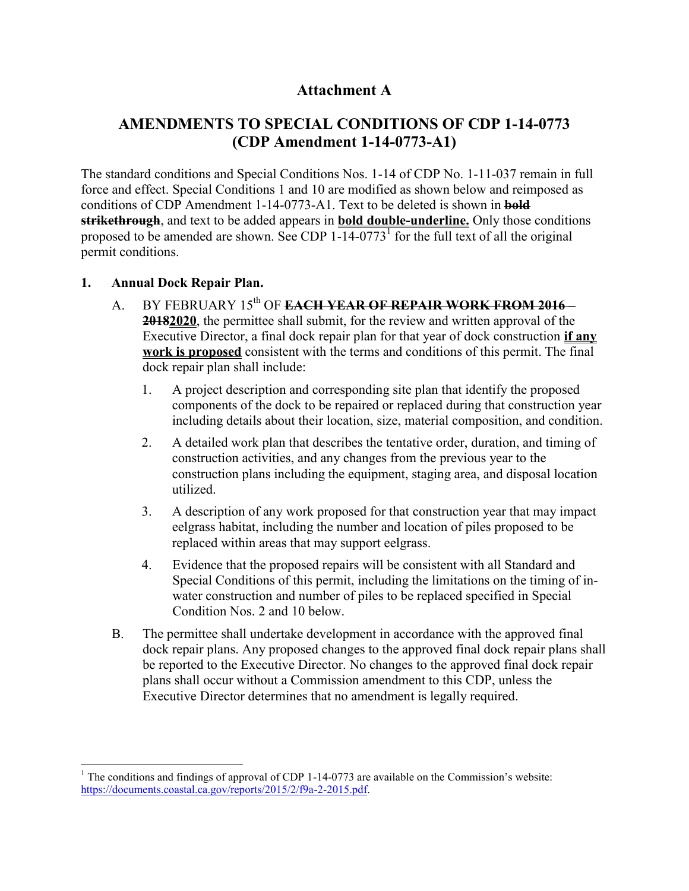### **Attachment A**

## **AMENDMENTS TO SPECIAL CONDITIONS OF CDP 1-14-0773 (CDP Amendment 1-14-0773-A1)**

The standard conditions and Special Conditions Nos. 1-14 of CDP No. 1-11-037 remain in full force and effect. Special Conditions 1 and 10 are modified as shown below and reimposed as conditions of CDP Amendment 1-14-0773-A1. Text to be deleted is shown in **bold strikethrough**, and text to be added appears in **bold double-underline.** Only those conditions proposed to be amended are shown. See CDP  $1\overline{-14\cdot 0773}$  for the full text of all the original permit conditions.

#### **1. Annual Dock Repair Plan.**

- A. BY FEBRUARY 15<sup>th</sup> OF **EACH YEAR OF REPAIR WORK FROM 2016 20182020**, the permittee shall submit, for the review and written approval of the Executive Director, a final dock repair plan for that year of dock construction **if any work is proposed** consistent with the terms and conditions of this permit. The final dock repair plan shall include:
	- 1. A project description and corresponding site plan that identify the proposed components of the dock to be repaired or replaced during that construction year including details about their location, size, material composition, and condition.
	- 2. A detailed work plan that describes the tentative order, duration, and timing of construction activities, and any changes from the previous year to the construction plans including the equipment, staging area, and disposal location utilized.
	- 3. A description of any work proposed for that construction year that may impact eelgrass habitat, including the number and location of piles proposed to be replaced within areas that may support eelgrass.
	- 4. Evidence that the proposed repairs will be consistent with all Standard and Special Conditions of this permit, including the limitations on the timing of inwater construction and number of piles to be replaced specified in Special Condition Nos. 2 and 10 below.
- B. The permittee shall undertake development in accordance with the approved final dock repair plans. Any proposed changes to the approved final dock repair plans shall be reported to the Executive Director. No changes to the approved final dock repair plans shall occur without a Commission amendment to this CDP, unless the Executive Director determines that no amendment is legally required.

 $\overline{\phantom{a}}$ <sup>1</sup> The conditions and findings of approval of CDP 1-14-0773 are available on the Commission's website: [https://documents.coastal.ca.gov/reports/2015/2/f9a-2-2015.pdf.](https://documents.coastal.ca.gov/reports/2015/2/f9a-2-2015.pdf)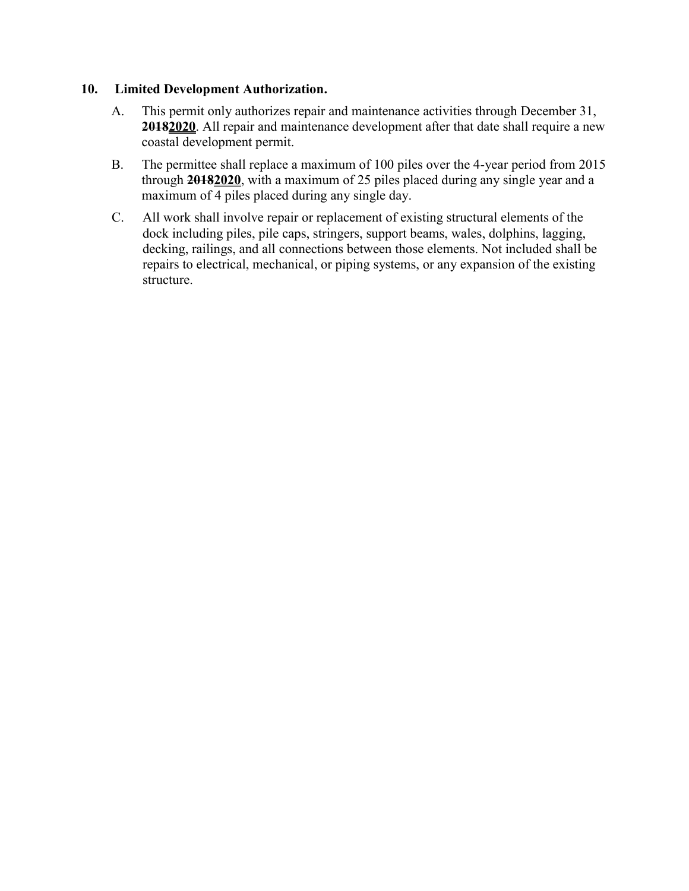#### **10. Limited Development Authorization.**

- A. This permit only authorizes repair and maintenance activities through December 31, **20182020**. All repair and maintenance development after that date shall require a new coastal development permit.
- B. The permittee shall replace a maximum of 100 piles over the 4-year period from 2015 through **20182020**, with a maximum of 25 piles placed during any single year and a maximum of 4 piles placed during any single day.
- C. All work shall involve repair or replacement of existing structural elements of the dock including piles, pile caps, stringers, support beams, wales, dolphins, lagging, decking, railings, and all connections between those elements. Not included shall be repairs to electrical, mechanical, or piping systems, or any expansion of the existing structure.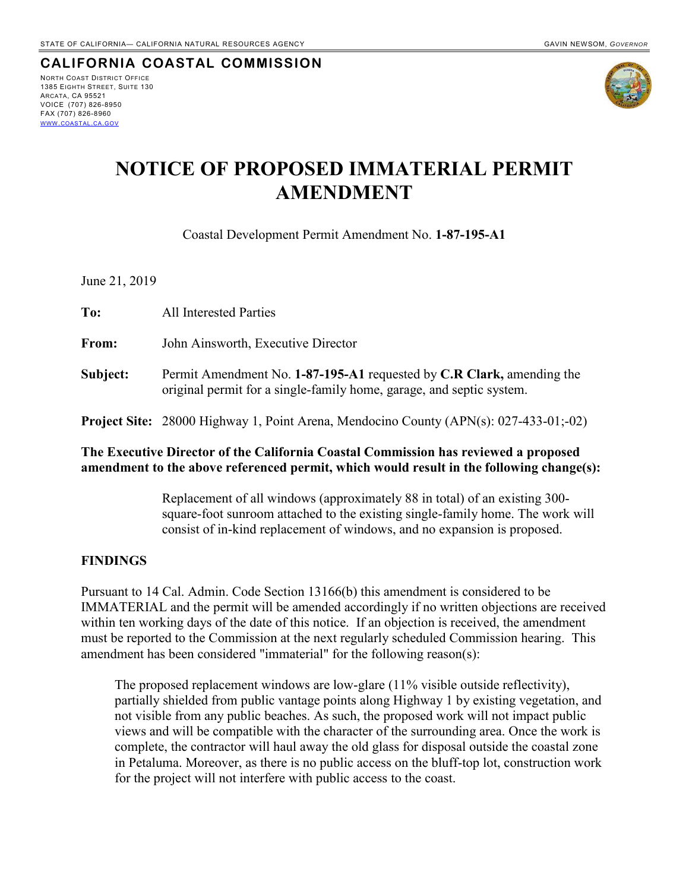#### **CALIFORNIA COASTAL COMMISSION** NORTH COAST DISTRICT OFFICE 1385 EIGHTH STREET, SUITE 130 ARCATA, CA 95521 VOICE (707) 826-8950 FAX (707) 826-8960 WWW.[COASTAL](http://www.coastal.ca.gov/).CA.GOV



# **NOTICE OF PROPOSED IMMATERIAL PERMIT AMENDMENT**

Coastal Development Permit Amendment No. **1-87-195-A1**

June 21, 2019

| To:      | <b>All Interested Parties</b>                                                                                                                 |
|----------|-----------------------------------------------------------------------------------------------------------------------------------------------|
| From:    | John Ainsworth, Executive Director                                                                                                            |
| Subject: | Permit Amendment No. 1-87-195-A1 requested by C.R Clark, amending the<br>original permit for a single-family home, garage, and septic system. |
|          | <b>Project Site:</b> 28000 Highway 1, Point Arena, Mendocino County (APN(s): $027-433-01$ ;-02)                                               |

#### **The Executive Director of the California Coastal Commission has reviewed a proposed amendment to the above referenced permit, which would result in the following change(s):**

 Replacement of all windows (approximately 88 in total) of an existing 300 square-foot sunroom attached to the existing single-family home. The work will consist of in-kind replacement of windows, and no expansion is proposed.

#### **FINDINGS**

Pursuant to 14 Cal. Admin. Code Section 13166(b) this amendment is considered to be IMMATERIAL and the permit will be amended accordingly if no written objections are received within ten working days of the date of this notice. If an objection is received, the amendment must be reported to the Commission at the next regularly scheduled Commission hearing. This amendment has been considered "immaterial" for the following reason(s):

 The proposed replacement windows are low-glare (11% visible outside reflectivity), partially shielded from public vantage points along Highway 1 by existing vegetation, and not visible from any public beaches. As such, the proposed work will not impact public views and will be compatible with the character of the surrounding area. Once the work is complete, the contractor will haul away the old glass for disposal outside the coastal zone in Petaluma. Moreover, as there is no public access on the bluff-top lot, construction work for the project will not interfere with public access to the coast.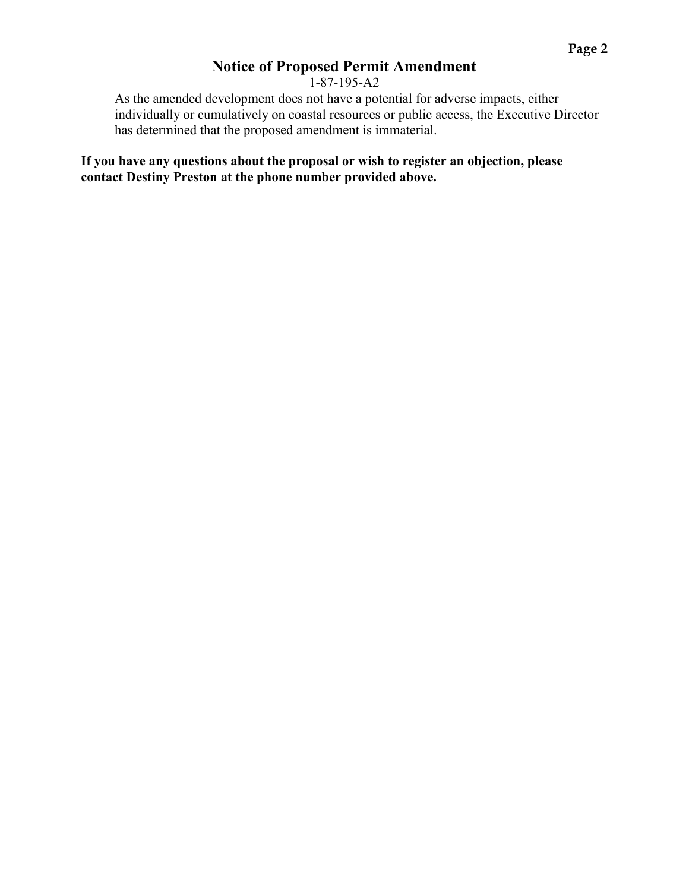## **Notice of Proposed Permit Amendment**

1-87-195-A2

 As the amended development does not have a potential for adverse impacts, either individually or cumulatively on coastal resources or public access, the Executive Director has determined that the proposed amendment is immaterial.

**If you have any questions about the proposal or wish to register an objection, please contact Destiny Preston at the phone number provided above.**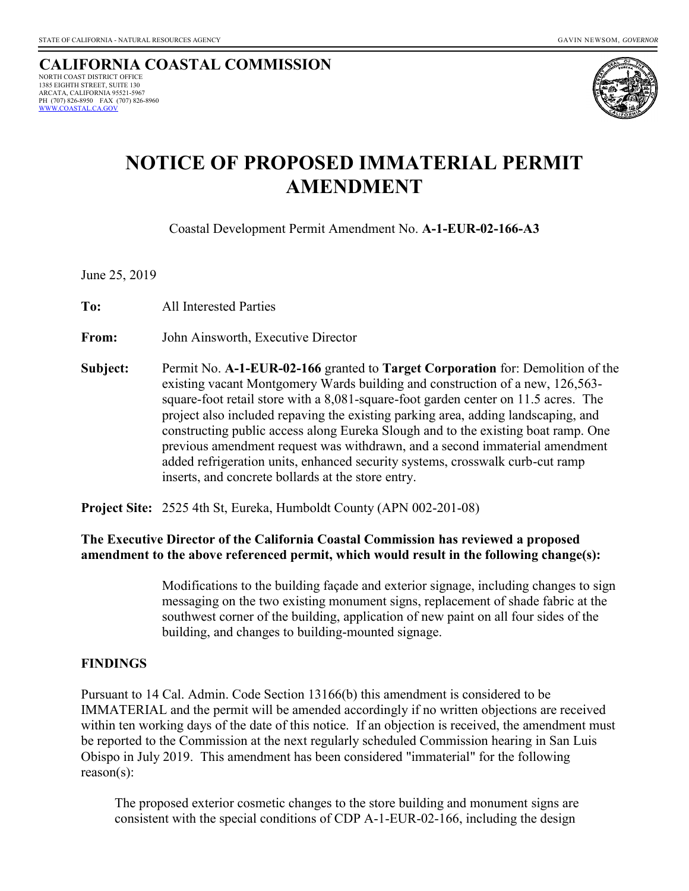

# **NOTICE OF PROPOSED IMMATERIAL PERMIT AMENDMENT**

Coastal Development Permit Amendment No. **A-1-EUR-02-166-A3**

June 25, 2019

**To:**All Interested Parties

**From:** John Ainsworth, Executive Director

**Subject:** Permit No. **A-1-EUR-02-166** granted to **Target Corporation** for: Demolition of the existing vacant Montgomery Wards building and construction of a new, 126,563 square-foot retail store with a 8,081-square-foot garden center on 11.5 acres. The project also included repaving the existing parking area, adding landscaping, and constructing public access along Eureka Slough and to the existing boat ramp. One previous amendment request was withdrawn, and a second immaterial amendment added refrigeration units, enhanced security systems, crosswalk curb-cut ramp inserts, and concrete bollards at the store entry.

**Project Site:** 2525 4th St, Eureka, Humboldt County (APN 002-201-08)

#### **The Executive Director of the California Coastal Commission has reviewed a proposed amendment to the above referenced permit, which would result in the following change(s):**

 Modifications to the building façade and exterior signage, including changes to sign messaging on the two existing monument signs, replacement of shade fabric at the southwest corner of the building, application of new paint on all four sides of the building, and changes to building-mounted signage.

#### **FINDINGS**

Pursuant to 14 Cal. Admin. Code Section 13166(b) this amendment is considered to be IMMATERIAL and the permit will be amended accordingly if no written objections are received within ten working days of the date of this notice. If an objection is received, the amendment must be reported to the Commission at the next regularly scheduled Commission hearing in San Luis Obispo in July 2019. This amendment has been considered "immaterial" for the following reason(s):

 The proposed exterior cosmetic changes to the store building and monument signs are consistent with the special conditions of CDP A-1-EUR-02-166, including the design